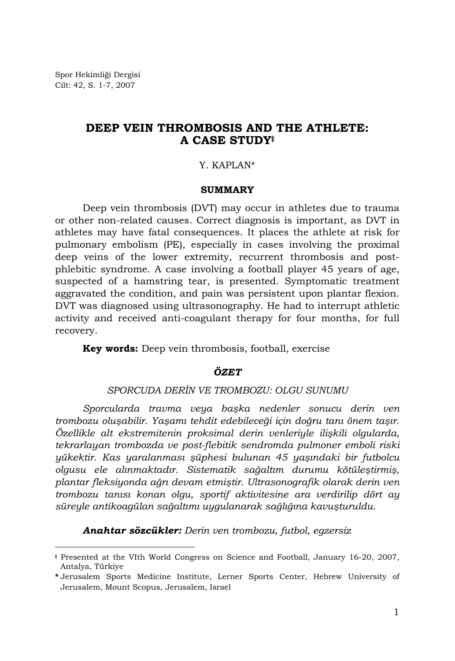Spor Hekimliği Dergisi Cilt: 42, S. 1-7, 2007

l

# **DEEP VEIN THROMBOSIS AND THE ATHLETE: A CASE STUDY‡**

## Y. KAPLAN\*

#### **SUMMARY**

Deep vein thrombosis (DVT) may occur in athletes due to trauma or other non-related causes. Correct diagnosis is important, as DVT in athletes may have fatal consequences. It places the athlete at risk for pulmonary embolism (PE), especially in cases involving the proximal deep veins of the lower extremity, recurrent thrombosis and postphlebitic syndrome. A case involving a football player 45 years of age, suspected of a hamstring tear, is presented. Symptomatic treatment aggravated the condition, and pain was persistent upon plantar flexion. DVT was diagnosed using ultrasonography. He had to interrupt athletic activity and received anti-coagulant therapy for four months, for full recovery.

**Key words:** Deep vein thrombosis, football, exercise

## *ÖZET*

# *SPORCUDA DERİN VE TROMBOZU: OLGU SUNUMU*

*Sporcularda travma veya başka nedenler sonucu derin ven trombozu oluşabilir. Yaşamı tehdit edebileceği için doğru tanı önem taşır. Özellikle alt ekstremitenin proksimal derin venleriyle ilişkili olgularda, tekrarlayan trombozda ve post-flebitik sendromda pulmoner emboli riski yükektir. Kas yaralanması şüphesi bulunan 45 yaşındaki bir futbolcu olgusu ele alınmaktadır. Sistematik sağaltım durumu kötüleştirmiş, plantar fleksiyonda ağrı devam etmiştir. Ultrasonografik olarak derin ven trombozu tanısı konan olgu, sportif aktivitesine ara verdirilip dört ay süreyle antikoagülan sağaltımı uygulanarak sağlığına kavuşturuldu.* 

*Anahtar sözcükler: Derin ven trombozu, futbol, egzersiz* 

**<sup>‡</sup>** Presented at the VIth World Congress on Science and Football, January 16-20, 2007, Antalya, Türkiye

**<sup>\*</sup>** Jerusalem Sports Medicine Institute, Lerner Sports Center, Hebrew University of Jerusalem, Mount Scopus, Jerusalem, Israel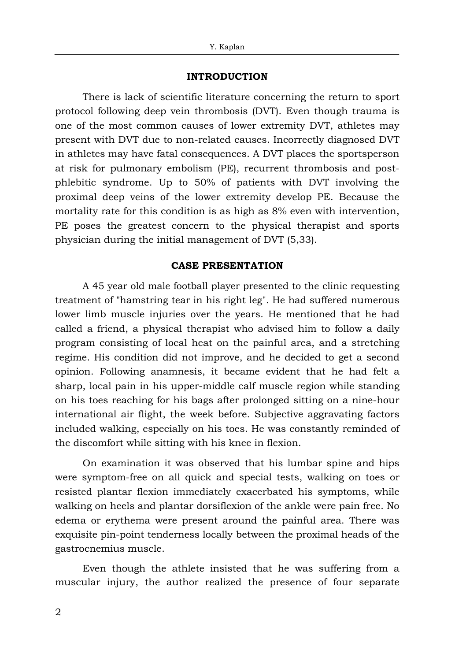#### **INTRODUCTION**

There is lack of scientific literature concerning the return to sport protocol following deep vein thrombosis (DVT). Even though trauma is one of the most common causes of lower extremity DVT, athletes may present with DVT due to non-related causes. Incorrectly diagnosed DVT in athletes may have fatal consequences. A DVT places the sportsperson at risk for pulmonary embolism (PE), recurrent thrombosis and postphlebitic syndrome. Up to 50% of patients with DVT involving the proximal deep veins of the lower extremity develop PE. Because the mortality rate for this condition is as high as 8% even with intervention, PE poses the greatest concern to the physical therapist and sports physician during the initial management of DVT (5,33).

#### **CASE PRESENTATION**

A 45 year old male football player presented to the clinic requesting treatment of "hamstring tear in his right leg". He had suffered numerous lower limb muscle injuries over the years. He mentioned that he had called a friend, a physical therapist who advised him to follow a daily program consisting of local heat on the painful area, and a stretching regime. His condition did not improve, and he decided to get a second opinion. Following anamnesis, it became evident that he had felt a sharp, local pain in his upper-middle calf muscle region while standing on his toes reaching for his bags after prolonged sitting on a nine-hour international air flight, the week before. Subjective aggravating factors included walking, especially on his toes. He was constantly reminded of the discomfort while sitting with his knee in flexion.

On examination it was observed that his lumbar spine and hips were symptom-free on all quick and special tests, walking on toes or resisted plantar flexion immediately exacerbated his symptoms, while walking on heels and plantar dorsiflexion of the ankle were pain free. No edema or erythema were present around the painful area. There was exquisite pin-point tenderness locally between the proximal heads of the gastrocnemius muscle.

Even though the athlete insisted that he was suffering from a muscular injury, the author realized the presence of four separate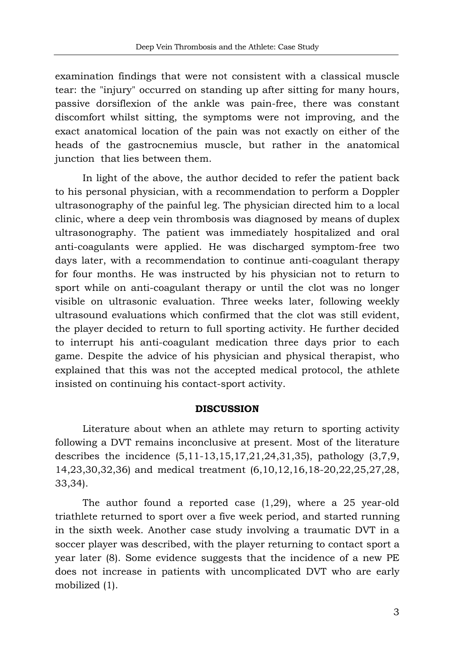examination findings that were not consistent with a classical muscle tear: the "injury" occurred on standing up after sitting for many hours, passive dorsiflexion of the ankle was pain-free, there was constant discomfort whilst sitting, the symptoms were not improving, and the exact anatomical location of the pain was not exactly on either of the heads of the gastrocnemius muscle, but rather in the anatomical junction that lies between them.

In light of the above, the author decided to refer the patient back to his personal physician, with a recommendation to perform a Doppler ultrasonography of the painful leg. The physician directed him to a local clinic, where a deep vein thrombosis was diagnosed by means of duplex ultrasonography. The patient was immediately hospitalized and oral anti-coagulants were applied. He was discharged symptom-free two days later, with a recommendation to continue anti-coagulant therapy for four months. He was instructed by his physician not to return to sport while on anti-coagulant therapy or until the clot was no longer visible on ultrasonic evaluation. Three weeks later, following weekly ultrasound evaluations which confirmed that the clot was still evident, the player decided to return to full sporting activity. He further decided to interrupt his anti-coagulant medication three days prior to each game. Despite the advice of his physician and physical therapist, who explained that this was not the accepted medical protocol, the athlete insisted on continuing his contact-sport activity.

#### **DISCUSSION**

Literature about when an athlete may return to sporting activity following a DVT remains inconclusive at present. Most of the literature describes the incidence (5,11-13,15,17,21,24,31,35), pathology (3,7,9, 14,23,30,32,36) and medical treatment (6,10,12,16,18-20,22,25,27,28, 33,34).

The author found a reported case (1,29), where a 25 year-old triathlete returned to sport over a five week period, and started running in the sixth week. Another case study involving a traumatic DVT in a soccer player was described, with the player returning to contact sport a year later (8). Some evidence suggests that the incidence of a new PE does not increase in patients with uncomplicated DVT who are early mobilized (1).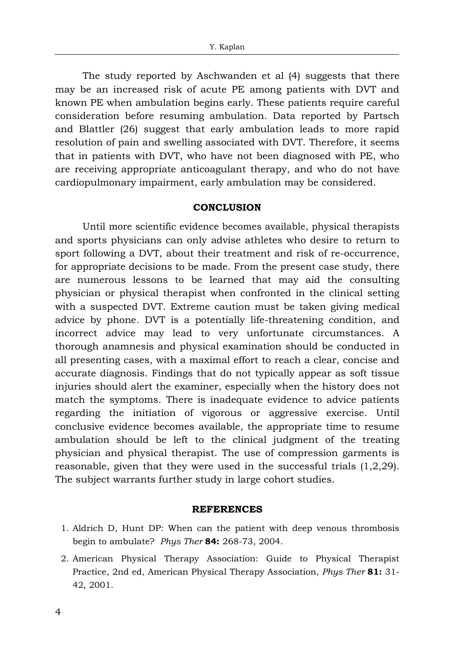The study reported by Aschwanden et al (4) suggests that there may be an increased risk of acute PE among patients with DVT and known PE when ambulation begins early. These patients require careful consideration before resuming ambulation. Data reported by Partsch and Blattler (26) suggest that early ambulation leads to more rapid resolution of pain and swelling associated with DVT. Therefore, it seems that in patients with DVT, who have not been diagnosed with PE, who are receiving appropriate anticoagulant therapy, and who do not have cardiopulmonary impairment, early ambulation may be considered.

# **CONCLUSION**

Until more scientific evidence becomes available, physical therapists and sports physicians can only advise athletes who desire to return to sport following a DVT, about their treatment and risk of re-occurrence, for appropriate decisions to be made. From the present case study, there are numerous lessons to be learned that may aid the consulting physician or physical therapist when confronted in the clinical setting with a suspected DVT. Extreme caution must be taken giving medical advice by phone. DVT is a potentially life-threatening condition, and incorrect advice may lead to very unfortunate circumstances. A thorough anamnesis and physical examination should be conducted in all presenting cases, with a maximal effort to reach a clear, concise and accurate diagnosis. Findings that do not typically appear as soft tissue injuries should alert the examiner, especially when the history does not match the symptoms. There is inadequate evidence to advice patients regarding the initiation of vigorous or aggressive exercise. Until conclusive evidence becomes available, the appropriate time to resume ambulation should be left to the clinical judgment of the treating physician and physical therapist. The use of compression garments is reasonable, given that they were used in the successful trials  $(1,2,29)$ . The subject warrants further study in large cohort studies.

# **REFERENCES**

- 1. Aldrich D, Hunt DP: When can the patient with deep venous thrombosis begin to ambulate? *Phys Ther* **84:** 268-73, 2004.
- 2. American Physical Therapy Association: Guide to Physical Therapist Practice, 2nd ed, American Physical Therapy Association, *Phys Ther* **81:** 31- 42, 2001.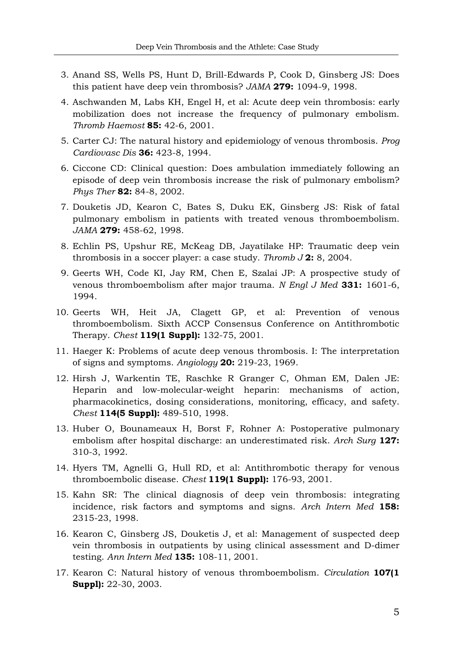- 3. Anand SS, Wells PS, Hunt D, Brill-Edwards P, Cook D, Ginsberg JS: Does this patient have deep vein thrombosis? *JAMA* **279:** 1094-9, 1998.
- 4. Aschwanden M, Labs KH, Engel H, et al: Acute deep vein thrombosis: early mobilization does not increase the frequency of pulmonary embolism. *Thromb Haemost* **85:** 42-6, 2001.
- 5. Carter CJ: The natural history and epidemiology of venous thrombosis. *Prog Cardiovasc Dis* **36:** 423-8, 1994.
- 6. Ciccone CD: Clinical question: Does ambulation immediately following an episode of deep vein thrombosis increase the risk of pulmonary embolism? *Phys Ther* **82:** 84-8, 2002.
- 7. Douketis JD, Kearon C, Bates S, Duku EK, Ginsberg JS: Risk of fatal pulmonary embolism in patients with treated venous thromboembolism. *JAMA* **279:** 458-62, 1998.
- 8. Echlin PS, Upshur RE, McKeag DB, Jayatilake HP: Traumatic deep vein thrombosis in a soccer player: a case study. *Thromb J* **2:** 8, 2004.
- 9. Geerts WH, Code KI, Jay RM, Chen E, Szalai JP: A prospective study of venous thromboembolism after major trauma. *N Engl J Med* **331:** 1601-6, 1994.
- 10. Geerts WH, Heit JA, Clagett GP, et al: Prevention of venous thromboembolism. Sixth ACCP Consensus Conference on Antithrombotic Therapy. *Chest* **119(1 Suppl):** 132-75, 2001.
- 11. Haeger K: Problems of acute deep venous thrombosis. I: The interpretation of signs and symptoms. *Angiology* **20:** 219-23, 1969.
- 12. Hirsh J, Warkentin TE, Raschke R Granger C, Ohman EM, Dalen JE: Heparin and low-molecular-weight heparin: mechanisms of action, pharmacokinetics, dosing considerations, monitoring, efficacy, and safety. *Chest* **114(5 Suppl):** 489-510, 1998.
- 13. Huber O, Bounameaux H, Borst F, Rohner A: Postoperative pulmonary embolism after hospital discharge: an underestimated risk. *Arch Surg* **127:**  310-3, 1992.
- 14. Hyers TM, Agnelli G, Hull RD, et al: Antithrombotic therapy for venous thromboembolic disease. *Chest* **119(1 Suppl):** 176-93, 2001.
- 15. Kahn SR: The clinical diagnosis of deep vein thrombosis: integrating incidence, risk factors and symptoms and signs. *Arch Intern Med* **158:** 2315-23, 1998.
- 16. Kearon C, Ginsberg JS, Douketis J, et al: Management of suspected deep vein thrombosis in outpatients by using clinical assessment and D-dimer testing. *Ann Intern Med* **135:** 108-11, 2001.
- 17. Kearon C: Natural history of venous thromboembolism. *Circulation* **107(1 Suppl):** 22-30, 2003.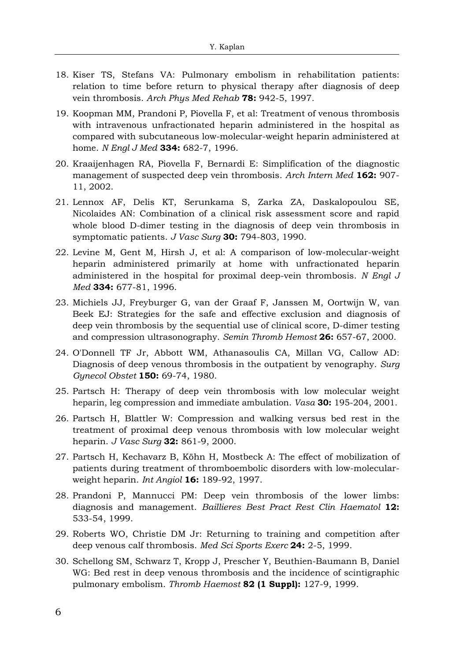- 18. Kiser TS, Stefans VA: Pulmonary embolism in rehabilitation patients: relation to time before return to physical therapy after diagnosis of deep vein thrombosis. *Arch Phys Med Rehab* **78:** 942-5, 1997.
- 19. Koopman MM, Prandoni P, Piovella F, et al: Treatment of venous thrombosis with intravenous unfractionated heparin administered in the hospital as compared with subcutaneous low-molecular-weight heparin administered at home. *N Engl J Med* **334:** 682-7, 1996.
- 20. Kraaijenhagen RA, Piovella F, Bernardi E: Simplification of the diagnostic management of suspected deep vein thrombosis. *Arch Intern Med* **162:** 907- 11, 2002.
- 21. Lennox AF, Delis KT, Serunkama S, Zarka ZA, Daskalopoulou SE, Nicolaides AN: Combination of a clinical risk assessment score and rapid whole blood D-dimer testing in the diagnosis of deep vein thrombosis in symptomatic patients. *J Vasc Surg* **30:** 794-803, 1990.
- 22. Levine M, Gent M, Hirsh J, et al: A comparison of low-molecular-weight heparin administered primarily at home with unfractionated heparin administered in the hospital for proximal deep-vein thrombosis. *N Engl J Med* **334:** 677-81, 1996.
- 23. Michiels JJ, Freyburger G, van der Graaf F, Janssen M, Oortwijn W, van Beek EJ: Strategies for the safe and effective exclusion and diagnosis of deep vein thrombosis by the sequential use of clinical score, D-dimer testing and compression ultrasonography. *Semin Thromb Hemost* **26:** 657-67, 2000.
- 24. O'Donnell TF Jr, Abbott WM, Athanasoulis CA, Millan VG, Callow AD: Diagnosis of deep venous thrombosis in the outpatient by venography. *Surg Gynecol Obstet* **150:** 69-74, 1980.
- 25. Partsch H: Therapy of deep vein thrombosis with low molecular weight heparin, leg compression and immediate ambulation. *Vasa* **30:** 195-204, 2001.
- 26. Partsch H, Blattler W: Compression and walking versus bed rest in the treatment of proximal deep venous thrombosis with low molecular weight heparin. *J Vasc Surg* **32:** 861-9, 2000.
- 27. Partsch H, Kechavarz B, Köhn H, Mostbeck A: The effect of mobilization of patients during treatment of thromboembolic disorders with low-molecularweight heparin. *Int Angiol* **16:** 189-92, 1997.
- 28. Prandoni P, Mannucci PM: Deep vein thrombosis of the lower limbs: diagnosis and management. *Baillieres Best Pract Rest Clin Haematol* **12:** 533-54, 1999.
- 29. Roberts WO, Christie DM Jr: Returning to training and competition after deep venous calf thrombosis. *Med Sci Sports Exerc* **24:** 2-5, 1999.
- 30. Schellong SM, Schwarz T, Kropp J, Prescher Y, Beuthien-Baumann B, Daniel WG: Bed rest in deep venous thrombosis and the incidence of scintigraphic pulmonary embolism. *Thromb Haemost* **82 (1 Suppl):** 127-9, 1999.